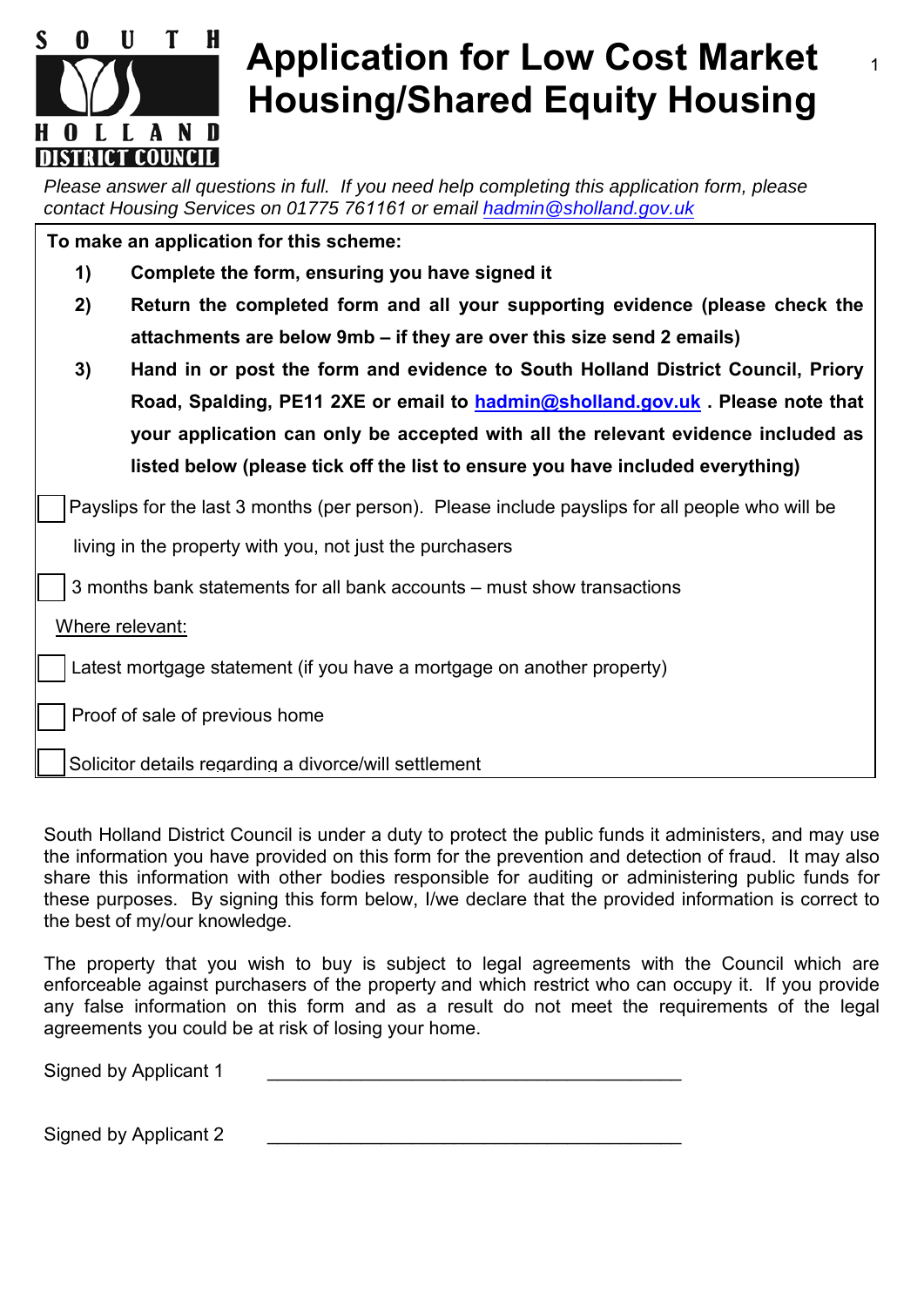

## **Application for Low Cost Market Housing/Shared Equity Housing**

*Please answer all questions in full. If you need help completing this application form, please contact Housing Services on 01775 761161 or email [hadmin@sholland](mailto:hadmin@sholland.gov.uk).gov.uk*

| To make an application for this scheme:                                 |                                                                                                 |  |  |  |  |
|-------------------------------------------------------------------------|-------------------------------------------------------------------------------------------------|--|--|--|--|
| 1)                                                                      | Complete the form, ensuring you have signed it                                                  |  |  |  |  |
| 2)                                                                      | Return the completed form and all your supporting evidence (please check the                    |  |  |  |  |
|                                                                         | attachments are below 9mb – if they are over this size send 2 emails)                           |  |  |  |  |
| 3)                                                                      | Hand in or post the form and evidence to South Holland District Council, Priory                 |  |  |  |  |
|                                                                         | Road, Spalding, PE11 2XE or email to hadmin@sholland.gov.uk. Please note that                   |  |  |  |  |
|                                                                         | your application can only be accepted with all the relevant evidence included as                |  |  |  |  |
|                                                                         | listed below (please tick off the list to ensure you have included everything)                  |  |  |  |  |
|                                                                         | Payslips for the last 3 months (per person). Please include payslips for all people who will be |  |  |  |  |
|                                                                         | living in the property with you, not just the purchasers                                        |  |  |  |  |
| 3 months bank statements for all bank accounts - must show transactions |                                                                                                 |  |  |  |  |
| Where relevant:                                                         |                                                                                                 |  |  |  |  |
| Latest mortgage statement (if you have a mortgage on another property)  |                                                                                                 |  |  |  |  |
|                                                                         | Proof of sale of previous home                                                                  |  |  |  |  |
| Solicitor details regarding a divorce/will settlement                   |                                                                                                 |  |  |  |  |

South Holland District Council is under a duty to protect the public funds it administers, and may use the information you have provided on this form for the prevention and detection of fraud. It may also share this information with other bodies responsible for auditing or administering public funds for these purposes. By signing this form below, I/we declare that the provided information is correct to the best of my/our knowledge.

The property that you wish to buy is subject to legal agreements with the Council which are enforceable against purchasers of the property and which restrict who can occupy it. If you provide any false information on this form and as a result do not meet the requirements of the legal agreements you could be at risk of losing your home.

Signed by Applicant 1

Signed by Applicant 2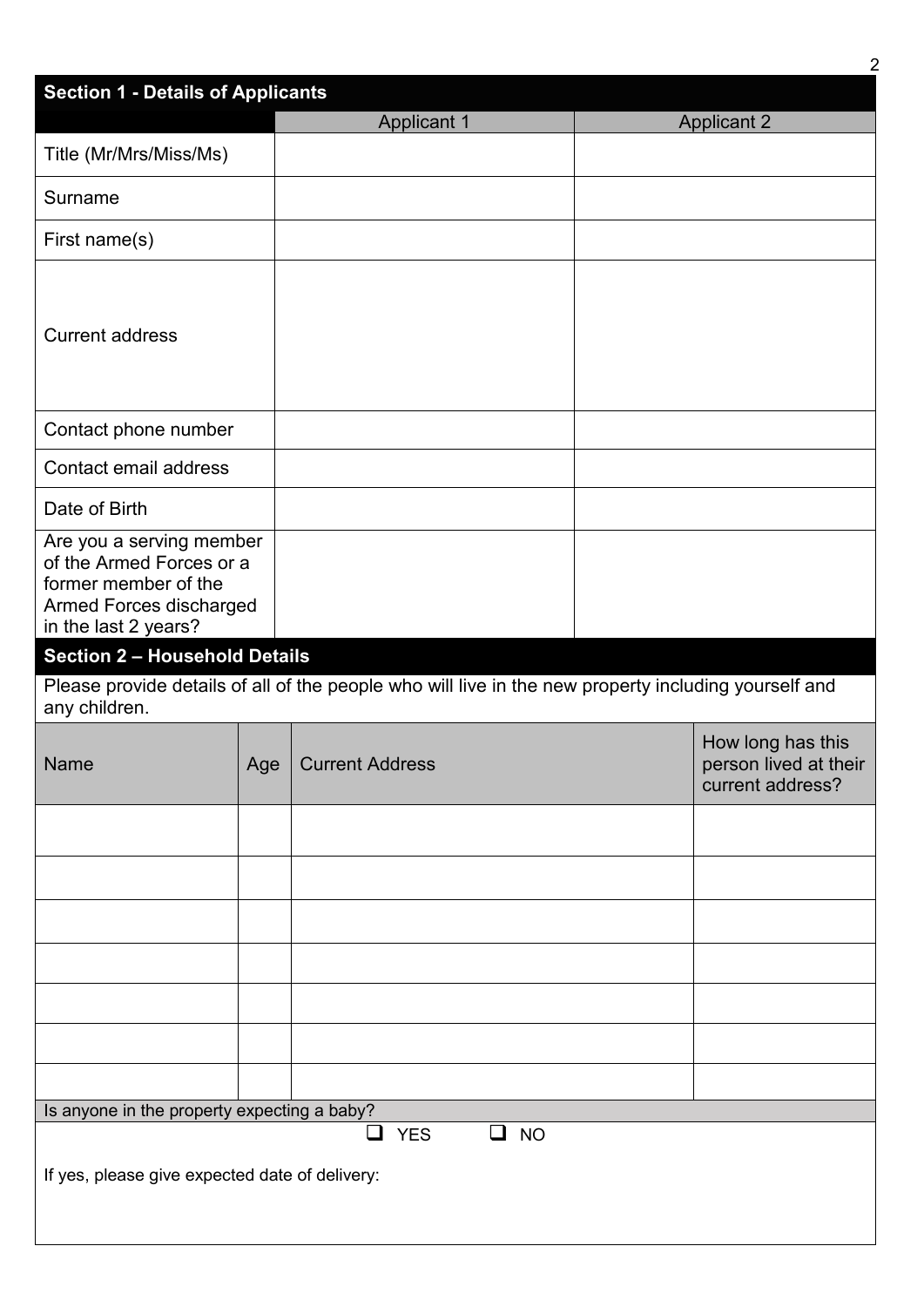|                                                                                                                                 |     |                                                                                                      | $\overline{2}$                                                 |
|---------------------------------------------------------------------------------------------------------------------------------|-----|------------------------------------------------------------------------------------------------------|----------------------------------------------------------------|
| <b>Section 1 - Details of Applicants</b>                                                                                        |     | <b>Applicant 1</b>                                                                                   | <b>Applicant 2</b>                                             |
| Title (Mr/Mrs/Miss/Ms)                                                                                                          |     |                                                                                                      |                                                                |
| Surname                                                                                                                         |     |                                                                                                      |                                                                |
| First name(s)                                                                                                                   |     |                                                                                                      |                                                                |
| <b>Current address</b>                                                                                                          |     |                                                                                                      |                                                                |
| Contact phone number                                                                                                            |     |                                                                                                      |                                                                |
| Contact email address                                                                                                           |     |                                                                                                      |                                                                |
| Date of Birth                                                                                                                   |     |                                                                                                      |                                                                |
| Are you a serving member<br>of the Armed Forces or a<br>former member of the<br>Armed Forces discharged<br>in the last 2 years? |     |                                                                                                      |                                                                |
| <b>Section 2 - Household Details</b>                                                                                            |     |                                                                                                      |                                                                |
| any children.                                                                                                                   |     | Please provide details of all of the people who will live in the new property including yourself and |                                                                |
| Name                                                                                                                            | Age | <b>Current Address</b>                                                                               | How long has this<br>person lived at their<br>current address? |
|                                                                                                                                 |     |                                                                                                      |                                                                |
|                                                                                                                                 |     |                                                                                                      |                                                                |
|                                                                                                                                 |     |                                                                                                      |                                                                |
|                                                                                                                                 |     |                                                                                                      |                                                                |
|                                                                                                                                 |     |                                                                                                      |                                                                |
|                                                                                                                                 |     |                                                                                                      |                                                                |
|                                                                                                                                 |     |                                                                                                      |                                                                |
| Is anyone in the property expecting a baby?                                                                                     |     | <b>YES</b><br><b>NO</b><br>$\Box$<br>⊔                                                               |                                                                |
| If yes, please give expected date of delivery:                                                                                  |     |                                                                                                      |                                                                |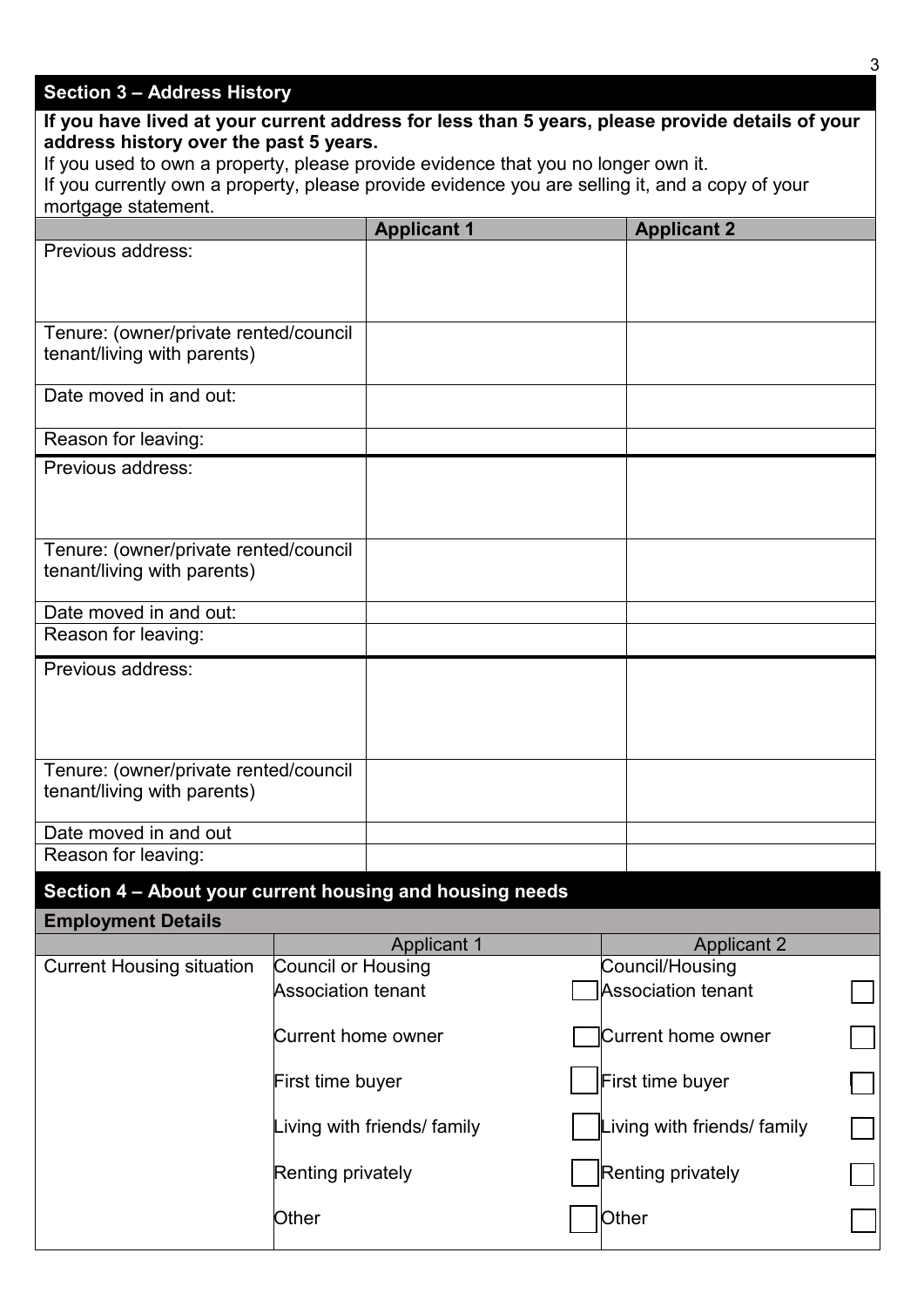## **Section 3 – Address History**

| If you have lived at your current address for less than 5 years, please provide details of your                             |                           |                             |  |                                       |  |
|-----------------------------------------------------------------------------------------------------------------------------|---------------------------|-----------------------------|--|---------------------------------------|--|
| address history over the past 5 years.<br>If you used to own a property, please provide evidence that you no longer own it. |                           |                             |  |                                       |  |
| If you currently own a property, please provide evidence you are selling it, and a copy of your                             |                           |                             |  |                                       |  |
| mortgage statement.                                                                                                         |                           |                             |  |                                       |  |
| Previous address:                                                                                                           |                           | <b>Applicant 1</b>          |  | <b>Applicant 2</b>                    |  |
|                                                                                                                             |                           |                             |  |                                       |  |
|                                                                                                                             |                           |                             |  |                                       |  |
| Tenure: (owner/private rented/council                                                                                       |                           |                             |  |                                       |  |
| tenant/living with parents)                                                                                                 |                           |                             |  |                                       |  |
| Date moved in and out:                                                                                                      |                           |                             |  |                                       |  |
| Reason for leaving:                                                                                                         |                           |                             |  |                                       |  |
| Previous address:                                                                                                           |                           |                             |  |                                       |  |
|                                                                                                                             |                           |                             |  |                                       |  |
|                                                                                                                             |                           |                             |  |                                       |  |
| Tenure: (owner/private rented/council<br>tenant/living with parents)                                                        |                           |                             |  |                                       |  |
|                                                                                                                             |                           |                             |  |                                       |  |
| Date moved in and out:<br>Reason for leaving:                                                                               |                           |                             |  |                                       |  |
|                                                                                                                             |                           |                             |  |                                       |  |
| Previous address:                                                                                                           |                           |                             |  |                                       |  |
|                                                                                                                             |                           |                             |  |                                       |  |
|                                                                                                                             |                           |                             |  |                                       |  |
| Tenure: (owner/private rented/council                                                                                       |                           |                             |  |                                       |  |
| tenant/living with parents)                                                                                                 |                           |                             |  |                                       |  |
| Date moved in and out                                                                                                       |                           |                             |  |                                       |  |
| Reason for leaving:                                                                                                         |                           |                             |  |                                       |  |
| Section 4 - About your current housing and housing needs                                                                    |                           |                             |  |                                       |  |
| <b>Employment Details</b>                                                                                                   |                           |                             |  |                                       |  |
| <b>Current Housing situation</b>                                                                                            | <b>Council or Housing</b> | <b>Applicant 1</b>          |  | <b>Applicant 2</b><br>Council/Housing |  |
|                                                                                                                             | <b>Association tenant</b> |                             |  | <b>Association tenant</b>             |  |
|                                                                                                                             | <b>Current home owner</b> |                             |  | <b>Current home owner</b>             |  |
|                                                                                                                             | First time buyer          |                             |  | <b>First time buyer</b>               |  |
|                                                                                                                             |                           | Living with friends/ family |  | Living with friends/ family           |  |
|                                                                                                                             | <b>Renting privately</b>  |                             |  | <b>Renting privately</b>              |  |
|                                                                                                                             | Other                     |                             |  | Other                                 |  |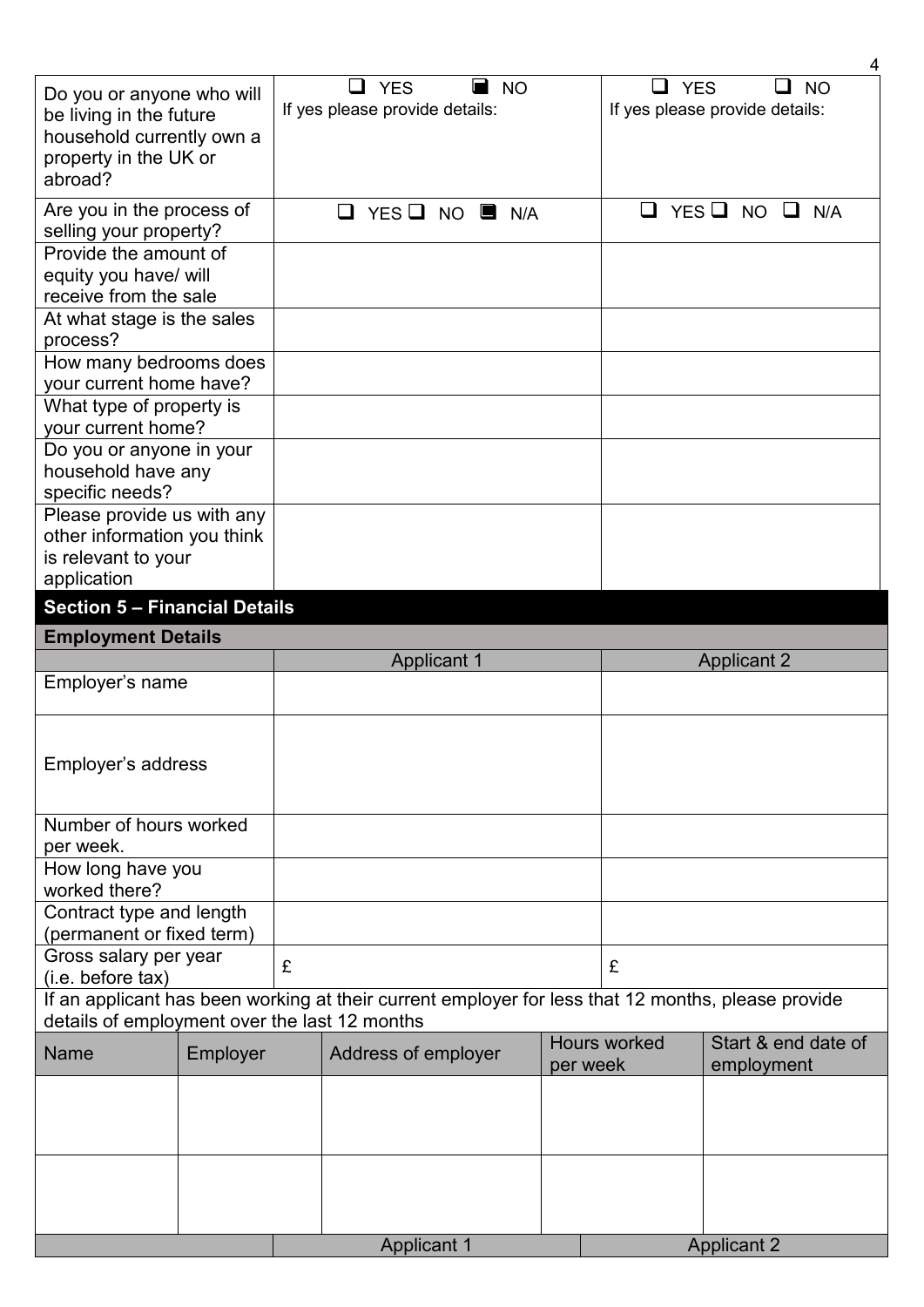| Do you or anyone who will<br>be living in the future<br>household currently own a<br>property in the UK or<br>abroad? |          |   | <b>YES</b><br><b>NO</b><br>If yes please provide details:                                          |          | <b>YES</b><br>$\overline{\phantom{a}}$ | <b>NO</b><br>$\mathbf{L}$<br>If yes please provide details: |
|-----------------------------------------------------------------------------------------------------------------------|----------|---|----------------------------------------------------------------------------------------------------|----------|----------------------------------------|-------------------------------------------------------------|
| Are you in the process of<br>selling your property?                                                                   |          |   | $YES$ $\Box$ NO $\Box$ N/A<br>ப                                                                    |          | ப                                      | YES $\Box$ NO $\Box$<br>N/A                                 |
| Provide the amount of                                                                                                 |          |   |                                                                                                    |          |                                        |                                                             |
| equity you have/ will                                                                                                 |          |   |                                                                                                    |          |                                        |                                                             |
| receive from the sale                                                                                                 |          |   |                                                                                                    |          |                                        |                                                             |
| At what stage is the sales                                                                                            |          |   |                                                                                                    |          |                                        |                                                             |
| process?                                                                                                              |          |   |                                                                                                    |          |                                        |                                                             |
| How many bedrooms does<br>your current home have?                                                                     |          |   |                                                                                                    |          |                                        |                                                             |
| What type of property is                                                                                              |          |   |                                                                                                    |          |                                        |                                                             |
| your current home?                                                                                                    |          |   |                                                                                                    |          |                                        |                                                             |
| Do you or anyone in your                                                                                              |          |   |                                                                                                    |          |                                        |                                                             |
| household have any<br>specific needs?                                                                                 |          |   |                                                                                                    |          |                                        |                                                             |
| Please provide us with any                                                                                            |          |   |                                                                                                    |          |                                        |                                                             |
| other information you think                                                                                           |          |   |                                                                                                    |          |                                        |                                                             |
| is relevant to your                                                                                                   |          |   |                                                                                                    |          |                                        |                                                             |
| application                                                                                                           |          |   |                                                                                                    |          |                                        |                                                             |
| <b>Section 5 - Financial Details</b>                                                                                  |          |   |                                                                                                    |          |                                        |                                                             |
| <b>Employment Details</b>                                                                                             |          |   |                                                                                                    |          |                                        |                                                             |
|                                                                                                                       |          |   | <b>Applicant 1</b>                                                                                 |          |                                        | <b>Applicant 2</b>                                          |
| Employer's name                                                                                                       |          |   |                                                                                                    |          |                                        |                                                             |
|                                                                                                                       |          |   |                                                                                                    |          |                                        |                                                             |
| Employer's address                                                                                                    |          |   |                                                                                                    |          |                                        |                                                             |
|                                                                                                                       |          |   |                                                                                                    |          |                                        |                                                             |
| Number of hours worked                                                                                                |          |   |                                                                                                    |          |                                        |                                                             |
| per week.                                                                                                             |          |   |                                                                                                    |          |                                        |                                                             |
| How long have you<br>worked there?                                                                                    |          |   |                                                                                                    |          |                                        |                                                             |
| Contract type and length                                                                                              |          |   |                                                                                                    |          |                                        |                                                             |
| (permanent or fixed term)<br>Gross salary per year                                                                    |          |   |                                                                                                    |          |                                        |                                                             |
| (i.e. before tax)                                                                                                     |          | £ |                                                                                                    |          | £                                      |                                                             |
|                                                                                                                       |          |   | If an applicant has been working at their current employer for less that 12 months, please provide |          |                                        |                                                             |
| details of employment over the last 12 months                                                                         |          |   |                                                                                                    |          |                                        |                                                             |
| <b>Name</b>                                                                                                           | Employer |   | Address of employer                                                                                | per week | <b>Hours worked</b>                    | Start & end date of<br>employment                           |
|                                                                                                                       |          |   |                                                                                                    |          |                                        |                                                             |
|                                                                                                                       |          |   |                                                                                                    |          |                                        |                                                             |
|                                                                                                                       |          |   |                                                                                                    |          |                                        |                                                             |
|                                                                                                                       |          |   |                                                                                                    |          |                                        |                                                             |
|                                                                                                                       |          |   |                                                                                                    |          |                                        |                                                             |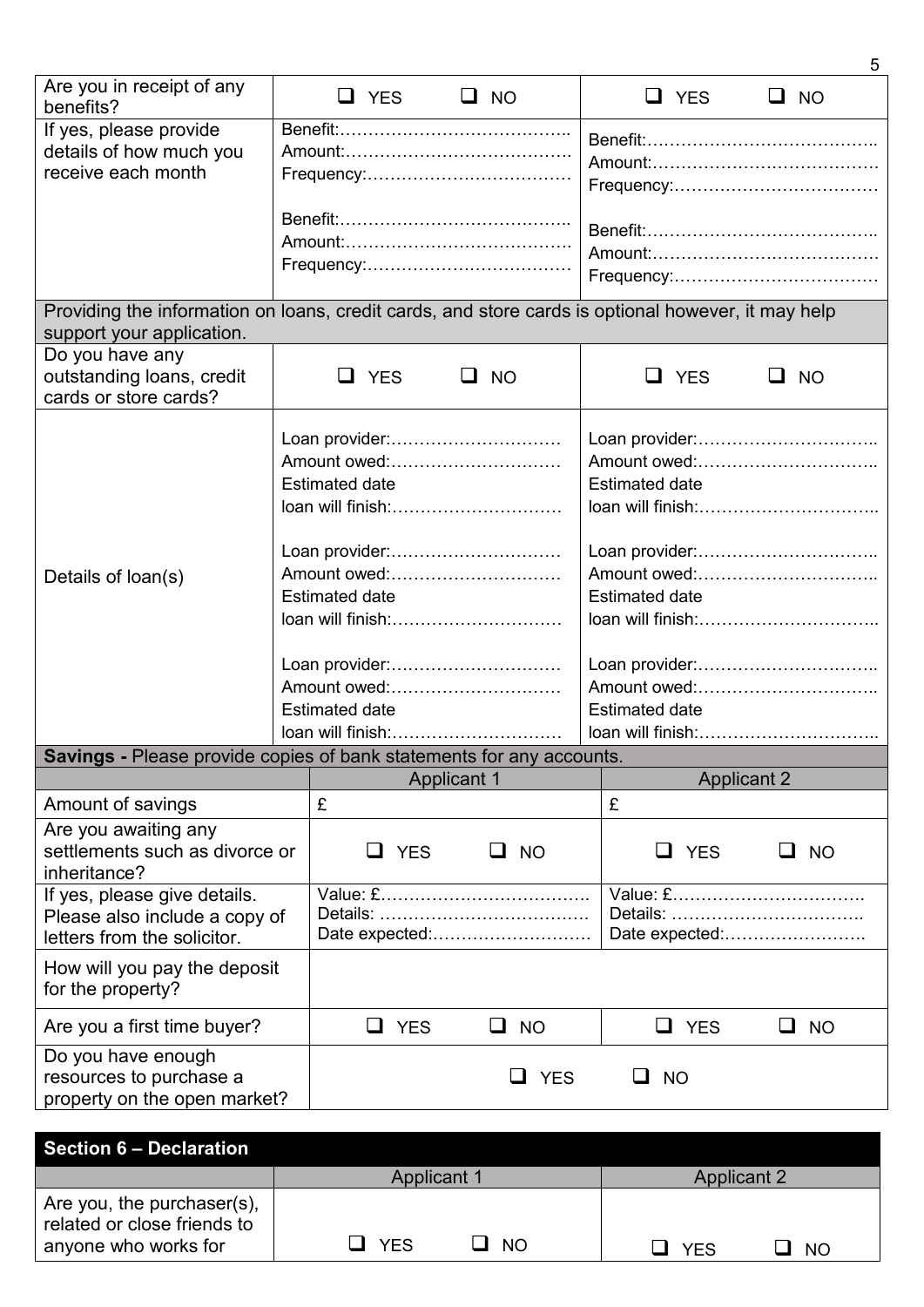|                                                                                                                                 |  |                                                                              |                    |                                                                                                | 5                                 |
|---------------------------------------------------------------------------------------------------------------------------------|--|------------------------------------------------------------------------------|--------------------|------------------------------------------------------------------------------------------------|-----------------------------------|
| Are you in receipt of any<br>benefits?                                                                                          |  | $\Box$ YES                                                                   | $\Box$ NO          | $\Box$ YES                                                                                     | $\Box$ NO                         |
| If yes, please provide<br>details of how much you<br>receive each month                                                         |  |                                                                              |                    |                                                                                                |                                   |
|                                                                                                                                 |  |                                                                              |                    |                                                                                                |                                   |
| Providing the information on loans, credit cards, and store cards is optional however, it may help<br>support your application. |  |                                                                              |                    |                                                                                                |                                   |
| Do you have any<br>outstanding loans, credit<br>cards or store cards?                                                           |  | U YES                                                                        | <b>NO</b><br>ப     | <b>YES</b>                                                                                     | <b>NO</b>                         |
|                                                                                                                                 |  | Loan provider:<br>Amount owed:<br><b>Estimated date</b><br>loan will finish: |                    | <b>Estimated date</b>                                                                          | Amount owed:<br>loan will finish: |
| Details of loan(s)                                                                                                              |  | Loan provider:<br>Amount owed:<br><b>Estimated date</b><br>loan will finish: |                    | Loan provider:<br>Amount owed:<br><b>Estimated date</b><br>loan will finish:<br>Loan provider: |                                   |
|                                                                                                                                 |  | Loan provider:<br>Amount owed:<br><b>Estimated date</b><br>loan will finish: |                    | <b>Estimated date</b>                                                                          | Amount owed:<br>loan will finish: |
| <b>Savings</b> - Please provide copies of bank statements for any accounts.                                                     |  |                                                                              |                    |                                                                                                |                                   |
| Amount of savings                                                                                                               |  | £                                                                            | <b>Applicant 1</b> | £                                                                                              | <b>Applicant 2</b>                |
| Are you awaiting any<br>settlements such as divorce or<br>inheritance?                                                          |  | $\Box$ YES                                                                   | $\Box$ NO          | <b>YES</b><br>⊔                                                                                | $\Box$ NO                         |
| If yes, please give details.<br>Please also include a copy of<br>letters from the solicitor.                                    |  |                                                                              | Date expected:     |                                                                                                | Date expected:                    |
| How will you pay the deposit<br>for the property?                                                                               |  |                                                                              |                    |                                                                                                |                                   |
| Are you a first time buyer?                                                                                                     |  | $\Box$ YES                                                                   | $\Box$ NO          | $\Box$ YES                                                                                     | $\Box$ NO                         |
| Do you have enough<br>resources to purchase a<br>property on the open market?                                                   |  |                                                                              | <b>YES</b>         | <b>NO</b><br>⊔                                                                                 |                                   |

| <b>Section 6 – Declaration</b>                                                    |                         |                         |
|-----------------------------------------------------------------------------------|-------------------------|-------------------------|
|                                                                                   | <b>Applicant 1</b>      | <b>Applicant 2</b>      |
| Are you, the purchaser(s),<br>related or close friends to<br>anyone who works for | <b>YES</b><br><b>NO</b> | <b>YFS</b><br><b>NO</b> |